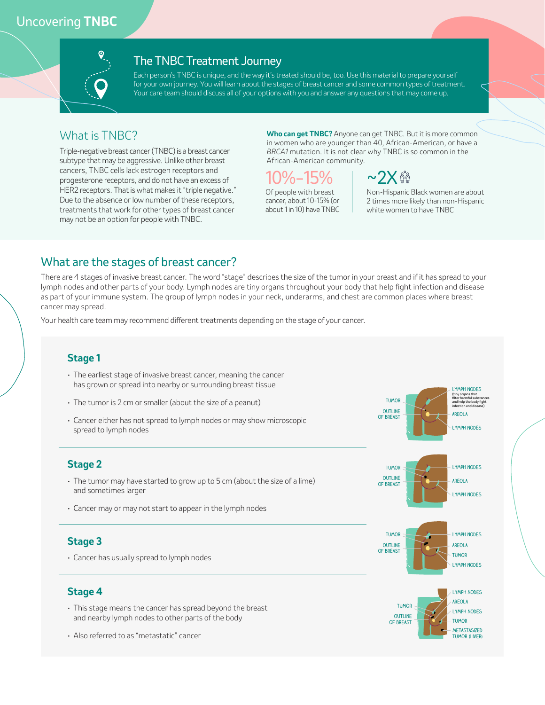## Uncovering **TNBC**



#### The TNBC Treatment Journey

Each person's TNBC is unique, and the way it's treated should be, too. Use this material to prepare yourself for your own journey. You will learn about the stages of breast cancer and some common types of treatment. Your care team should discuss all of your options with you and answer any questions that may come up.

#### What is TNBC?

Triple-negative breast cancer (TNBC) is a breast cancer subtype that may be aggressive. Unlike other breast cancers, TNBC cells lack estrogen receptors and progesterone receptors, and do not have an excess of HER2 receptors. That is what makes it "triple negative." Due to the absence or low number of these receptors, treatments that work for other types of breast cancer may not be an option for people with TNBC.

**Who can get TNBC?** Anyone can get TNBC. But it is more common in women who are younger than 40, African-American, or have a *BRCA1* mutation. It is not clear why TNBC is so common in the African-American community.



Of people with breast cancer, about 10-15% (or about 1 in 10) have TNBC



Non-Hispanic Black women are about 2 times more likely than non-Hispanic white women to have TNBC

#### What are the stages of breast cancer?

There are 4 stages of invasive breast cancer. The word "stage" describes the size of the tumor in your breast and if it has spread to your lymph nodes and other parts of your body. Lymph nodes are tiny organs throughout your body that help fight infection and disease as part of your immune system. The group of lymph nodes in your neck, underarms, and chest are common places where breast cancer may spread.

Your health care team may recommend different treatments depending on the stage of your cancer.

#### **Stage 1** • The earliest stage of invasive breast cancer, meaning the cancer has grown or spread into nearby or surrounding breast tissue • The tumor is 2 cm or smaller (about the size of a peanut) • Cancer either has not spread to lymph nodes or may show microscopic spread to lymph nodes **Stage 4** • This stage means the cancer has spread beyond the breast and nearby lymph nodes to other parts of the body • Also referred to as "metastatic" cancer **Stage 3** • Cancer has usually spread to lymph nodes **Stage 2** • The tumor may have started to grow up to 5 cm (about the size of a lime) and sometimes larger • Cancer may or may not start to appear in the lymph nodes **lymph nodes lymph nodes tumor outline OUTLINE and COUTLINE areola** (tiny organs that filter harmful substances and help the body fight infection and disease) **tumor lymph nodes OUTLINE OF BREAST lymph nodes areola tumor lymph nodes outline OF BREAST lymph nodes areola tumor lymph nodes lymph nodes tumor outline of breast metastasized tumor (liver) areola tumor**